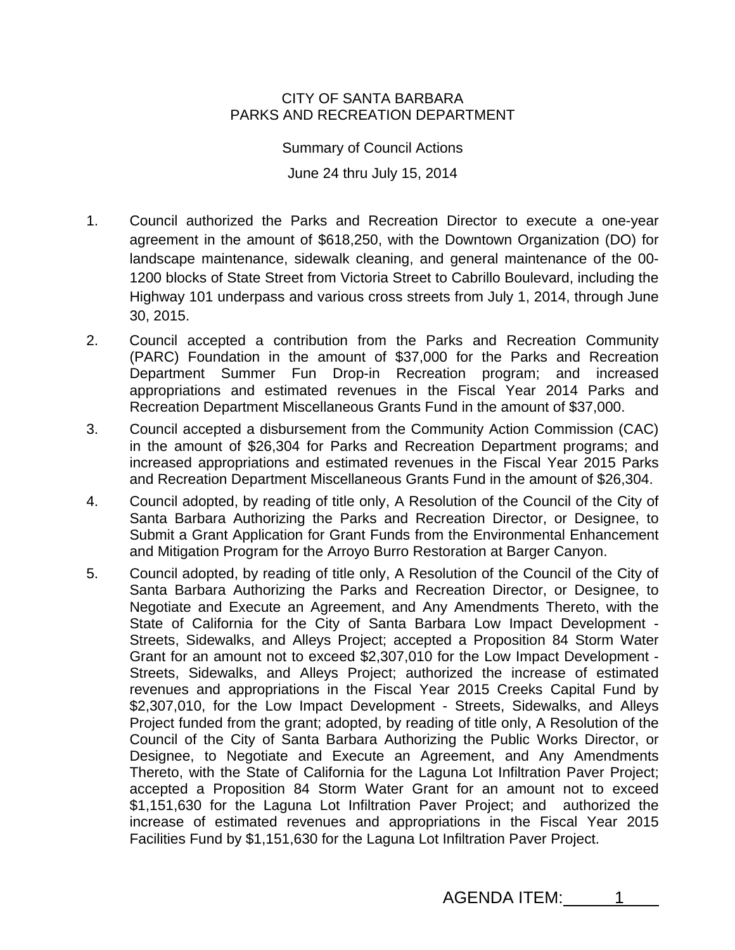## CITY OF SANTA BARBARA PARKS AND RECREATION DEPARTMENT

Summary of Council Actions June 24 thru July 15, 2014

- 1. Council authorized the Parks and Recreation Director to execute a one-year agreement in the amount of \$618,250, with the Downtown Organization (DO) for landscape maintenance, sidewalk cleaning, and general maintenance of the 00- 1200 blocks of State Street from Victoria Street to Cabrillo Boulevard, including the Highway 101 underpass and various cross streets from July 1, 2014, through June 30, 2015.
- 2. Council accepted a contribution from the Parks and Recreation Community (PARC) Foundation in the amount of \$37,000 for the Parks and Recreation Department Summer Fun Drop-in Recreation program; and increased appropriations and estimated revenues in the Fiscal Year 2014 Parks and Recreation Department Miscellaneous Grants Fund in the amount of \$37,000.
- 3. Council accepted a disbursement from the Community Action Commission (CAC) in the amount of \$26,304 for Parks and Recreation Department programs; and increased appropriations and estimated revenues in the Fiscal Year 2015 Parks and Recreation Department Miscellaneous Grants Fund in the amount of \$26,304.
- 4. Council adopted, by reading of title only, A Resolution of the Council of the City of Santa Barbara Authorizing the Parks and Recreation Director, or Designee, to Submit a Grant Application for Grant Funds from the Environmental Enhancement and Mitigation Program for the Arroyo Burro Restoration at Barger Canyon.
- 5. Council adopted, by reading of title only, A Resolution of the Council of the City of Santa Barbara Authorizing the Parks and Recreation Director, or Designee, to Negotiate and Execute an Agreement, and Any Amendments Thereto, with the State of California for the City of Santa Barbara Low Impact Development - Streets, Sidewalks, and Alleys Project; accepted a Proposition 84 Storm Water Grant for an amount not to exceed \$2,307,010 for the Low Impact Development - Streets, Sidewalks, and Alleys Project; authorized the increase of estimated revenues and appropriations in the Fiscal Year 2015 Creeks Capital Fund by \$2,307,010, for the Low Impact Development - Streets, Sidewalks, and Alleys Project funded from the grant; adopted, by reading of title only, A Resolution of the Council of the City of Santa Barbara Authorizing the Public Works Director, or Designee, to Negotiate and Execute an Agreement, and Any Amendments Thereto, with the State of California for the Laguna Lot Infiltration Paver Project; accepted a Proposition 84 Storm Water Grant for an amount not to exceed \$1,151,630 for the Laguna Lot Infiltration Paver Project; and authorized the increase of estimated revenues and appropriations in the Fiscal Year 2015 Facilities Fund by \$1,151,630 for the Laguna Lot Infiltration Paver Project.

AGENDA ITEM: 1